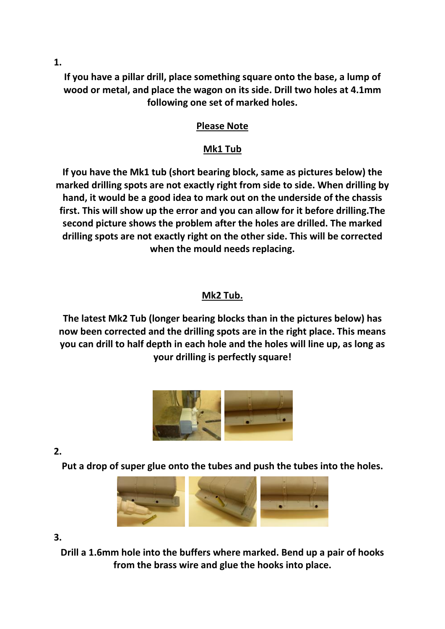**1.** 

**If you have a pillar drill, place something square onto the base, a lump of wood or metal, and place the wagon on its side. Drill two holes at 4.1mm following one set of marked holes.** 

## **Please Note**

## **Mk1 Tub**

**If you have the Mk1 tub (short bearing block, same as pictures below) the marked drilling spots are not exactly right from side to side. When drilling by hand, it would be a good idea to mark out on the underside of the chassis first. This will show up the error and you can allow for it before drilling.The second picture shows the problem after the holes are drilled. The marked drilling spots are not exactly right on the other side. This will be corrected when the mould needs replacing.**

## **Mk2 Tub.**

**The latest Mk2 Tub (longer bearing blocks than in the pictures below) has now been corrected and the drilling spots are in the right place. This means you can drill to half depth in each hole and the holes will line up, as long as your drilling is perfectly square!**



**2.** 

**Put a drop of super glue onto the tubes and push the tubes into the holes.**



**3.** 

**Drill a 1.6mm hole into the buffers where marked. Bend up a pair of hooks from the brass wire and glue the hooks into place.**